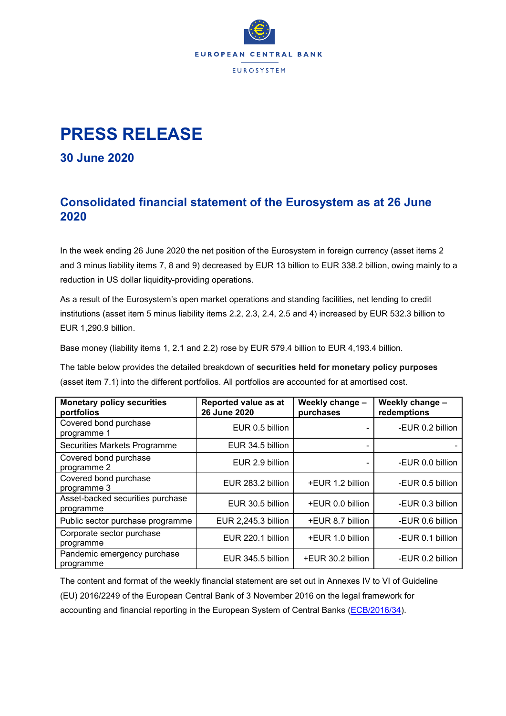

## **PRESS RELEASE**

**30 June 2020**

## **Consolidated financial statement of the Eurosystem as at 26 June 2020**

In the week ending 26 June 2020 the net position of the Eurosystem in foreign currency (asset items 2 and 3 minus liability items 7, 8 and 9) decreased by EUR 13 billion to EUR 338.2 billion, owing mainly to a reduction in US dollar liquidity-providing operations.

As a result of the Eurosystem's open market operations and standing facilities, net lending to credit institutions (asset item 5 minus liability items 2.2, 2.3, 2.4, 2.5 and 4) increased by EUR 532.3 billion to EUR 1,290.9 billion.

Base money (liability items 1, 2.1 and 2.2) rose by EUR 579.4 billion to EUR 4,193.4 billion.

The table below provides the detailed breakdown of **securities held for monetary policy purposes** (asset item 7.1) into the different portfolios. All portfolios are accounted for at amortised cost.

| <b>Monetary policy securities</b><br>portfolios | Reported value as at<br>26 June 2020 | Weekly change -<br>purchases | Weekly change -<br>redemptions |
|-------------------------------------------------|--------------------------------------|------------------------------|--------------------------------|
| Covered bond purchase<br>programme 1            | EUR 0.5 billion                      |                              | -EUR 0.2 billion               |
| Securities Markets Programme                    | EUR 34.5 billion                     |                              |                                |
| Covered bond purchase<br>programme 2            | EUR 2.9 billion                      |                              | -EUR 0.0 billion               |
| Covered bond purchase<br>programme 3            | EUR 283.2 billion                    | +EUR 1.2 billion             | -EUR 0.5 billion               |
| Asset-backed securities purchase<br>programme   | EUR 30.5 billion                     | +EUR 0.0 billion             | -EUR 0.3 billion               |
| Public sector purchase programme                | EUR 2,245.3 billion                  | +EUR 8.7 billion             | -EUR 0.6 billion               |
| Corporate sector purchase<br>programme          | EUR 220.1 billion                    | +EUR 1.0 billion             | -EUR 0.1 billion               |
| Pandemic emergency purchase<br>programme        | EUR 345.5 billion                    | +EUR 30.2 billion            | -EUR 0.2 billion               |

The content and format of the weekly financial statement are set out in Annexes IV to VI of Guideline (EU) 2016/2249 of the European Central Bank of 3 November 2016 on the legal framework for accounting and financial reporting in the European System of Central Banks [\(ECB/2016/34\)](http://www.ecb.europa.eu/ecb/legal/1001/1012/html/index.en.html).